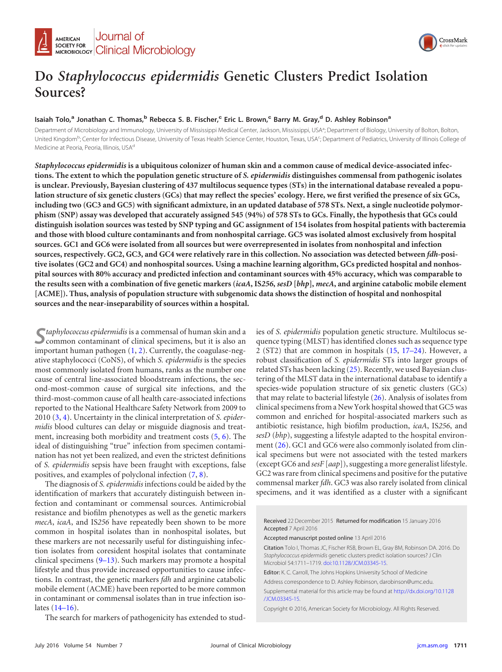



# **Do** *Staphylococcus epidermidis* **Genetic Clusters Predict Isolation Sources?**

### **Isaiah Tolo,<sup>a</sup> Jonathan C. Thomas,<sup>b</sup> Rebecca S. B. Fischer,<sup>c</sup> Eric L. Brown,<sup>c</sup> Barry M. Gray,<sup>d</sup> D. Ashley Robinson<sup>a</sup>**

Department of Microbiology and Immunology, University of Mississippi Medical Center, Jackson, Mississippi, USA<sup>a</sup>; Department of Biology, University of Bolton, Bolton, United Kingdom<sup>b</sup>; Center for Infectious Disease, University of Texas Health Science Center, Houston, Texas, USA<sup>c</sup>; Department of Pediatrics, University of Illinois College of Medicine at Peoria, Peoria, Illinois, USA<sup>d</sup>

*Staphylococcus epidermidis* **is a ubiquitous colonizer of human skin and a common cause of medical device-associated infections. The extent to which the population genetic structure of** *S. epidermidis* **distinguishes commensal from pathogenic isolates is unclear. Previously, Bayesian clustering of 437 multilocus sequence types (STs) in the international database revealed a population structure of six genetic clusters (GCs) that may reflect the species' ecology. Here, we first verified the presence of six GCs, including two (GC3 and GC5) with significant admixture, in an updated database of 578 STs. Next, a single nucleotide polymorphism (SNP) assay was developed that accurately assigned 545 (94%) of 578 STs to GCs. Finally, the hypothesis that GCs could distinguish isolation sources was tested by SNP typing and GC assignment of 154 isolates from hospital patients with bacteremia and those with blood culture contaminants and from nonhospital carriage. GC5 was isolated almost exclusively from hospital sources. GC1 and GC6 were isolated from all sources but were overrepresented in isolates from nonhospital and infection sources, respectively. GC2, GC3, and GC4 were relatively rare in this collection. No association was detected between** *fdh***-positive isolates (GC2 and GC4) and nonhospital sources. Using a machine learning algorithm, GCs predicted hospital and nonhospital sources with 80% accuracy and predicted infection and contaminant sources with 45% accuracy, which was comparable to the results seen with a combination of five genetic markers (***icaA***, IS***256***,** *sesD* **[***bhp***],** *mecA***, and arginine catabolic mobile element [ACME]). Thus, analysis of population structure with subgenomic data shows the distinction of hospital and nonhospital sources and the near-inseparability of sources within a hospital.**

S*staphylococcus epidermidis* is a commensal of human skin and a common contaminant of clinical specimens, but it is also an important human pathogen [\(1,](#page-6-0) [2\)](#page-6-1). Currently, the coagulase-negative staphylococci (CoNS), of which *S. epidermidis* is the species most commonly isolated from humans, ranks as the number one cause of central line-associated bloodstream infections, the second-most-common cause of surgical site infections, and the third-most-common cause of all health care-associated infections reported to the National Healthcare Safety Network from 2009 to 2010 [\(3,](#page-6-2) [4\)](#page-6-3). Uncertainty in the clinical interpretation of *S. epidermidis* blood cultures can delay or misguide diagnosis and treatment, increasing both morbidity and treatment costs [\(5,](#page-6-4) [6\)](#page-6-5). The ideal of distinguishing "true" infection from specimen contamination has not yet been realized, and even the strictest definitions of *S. epidermidis* sepsis have been fraught with exceptions, false positives, and examples of polyclonal infection [\(7,](#page-6-6) [8\)](#page-6-7).

The diagnosis of *S.epidermidis* infections could be aided by the identification of markers that accurately distinguish between infection and contaminant or commensal sources. Antimicrobial resistance and biofilm phenotypes as well as the genetic markers *mecA*, *icaA*, and IS*256* have repeatedly been shown to be more common in hospital isolates than in nonhospital isolates, but these markers are not necessarily useful for distinguishing infection isolates from coresident hospital isolates that contaminate clinical specimens [\(9](#page-6-8)[–](#page-7-0)[13\)](#page-7-1). Such markers may promote a hospital lifestyle and thus provide increased opportunities to cause infections. In contrast, the genetic markers *fdh* and arginine catabolic mobile element (ACME) have been reported to be more common in contaminant or commensal isolates than in true infection isolates [\(14](#page-7-2)[–](#page-7-3)[16\)](#page-7-4).

The search for markers of pathogenicity has extended to stud-

ies of *S. epidermidis* population genetic structure. Multilocus sequence typing (MLST) has identified clones such as sequence type 2 (ST2) that are common in hospitals [\(15,](#page-7-3) [17](#page-7-5)[–](#page-7-6)[24\)](#page-7-7). However, a robust classification of *S. epidermidis* STs into larger groups of related STs has been lacking [\(25\)](#page-7-8). Recently, we used Bayesian clustering of the MLST data in the international database to identify a species-wide population structure of six genetic clusters (GCs) that may relate to bacterial lifestyle [\(26\)](#page-7-9). Analysis of isolates from clinical specimensfrom a New York hospital showed that GC5 was common and enriched for hospital-associated markers such as antibiotic resistance, high biofilm production, *icaA*, IS*256*, and *sesD* (*bhp*), suggesting a lifestyle adapted to the hospital environ-ment [\(26\)](#page-7-9). GC1 and GC6 were also commonly isolated from clinical specimens but were not associated with the tested markers (except GC6 and *sesF* [*aap*]), suggesting a more generalist lifestyle. GC2 was rare from clinical specimens and positive for the putative commensal marker *fdh*. GC3 was also rarely isolated from clinical specimens, and it was identified as a cluster with a significant

Received 22 December 2015 Returned for modification 15 January 2016 Accepted 7 April 2016

Accepted manuscript posted online 13 April 2016

Citation Tolo I, Thomas JC, Fischer RSB, Brown EL, Gray BM, Robinson DA. 2016. Do *Staphylococcus epidermidis* genetic clusters predict isolation sources? J Clin Microbiol 54:1711–1719. [doi:10.1128/JCM.03345-15.](http://dx.doi.org/10.1128/JCM.03345-15)

Editor: K. C. Carroll, The Johns Hopkins University School of Medicine

Address correspondence to D. Ashley Robinson, darobinson@umc.edu.

Supplemental material for this article may be found at [http://dx.doi.org/10.1128](http://dx.doi.org/10.1128/JCM.03345-15) [/JCM.03345-15.](http://dx.doi.org/10.1128/JCM.03345-15)

Copyright © 2016, American Society for Microbiology. All Rights Reserved.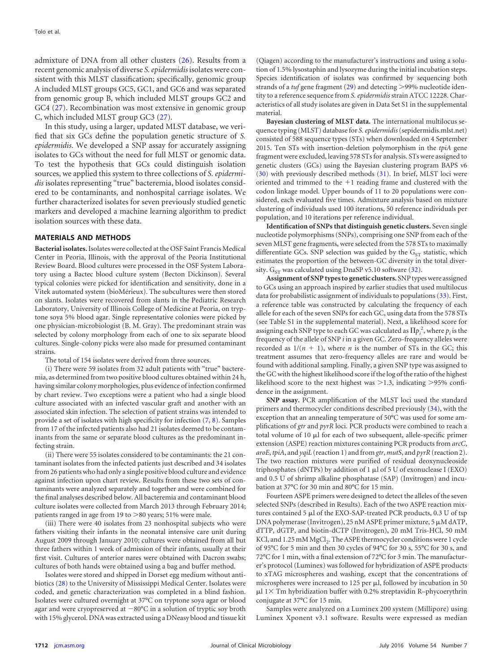admixture of DNA from all other clusters [\(26\)](#page-7-9). Results from a recent genomic analysis of diverse *S. epidermidis*isolates were consistent with this MLST classification; specifically, genomic group A included MLST groups GC5, GC1, and GC6 and was separated from genomic group B, which included MLST groups GC2 and GC4 [\(27\)](#page-7-10). Recombination was most extensive in genomic group C, which included MLST group GC3 [\(27\)](#page-7-10).

In this study, using a larger, updated MLST database, we verified that six GCs define the population genetic structure of *S. epidermidis*. We developed a SNP assay for accurately assigning isolates to GCs without the need for full MLST or genomic data. To test the hypothesis that GCs could distinguish isolation sources, we applied this system to three collections of *S. epidermidis* isolates representing "true" bacteremia, blood isolates considered to be contaminants, and nonhospital carriage isolates. We further characterized isolates for seven previously studied genetic markers and developed a machine learning algorithm to predict isolation sources with these data.

## **MATERIALS AND METHODS**

**Bacterial isolates.**Isolates were collected at the OSF Saint Francis Medical Center in Peoria, Illinois, with the approval of the Peoria Institutional Review Board. Blood cultures were processed in the OSF System Laboratory using a Bactec blood culture system (Becton Dickinson). Several typical colonies were picked for identification and sensitivity, done in a Vitek automated system (bioMérieux). The subcultures were then stored on slants. Isolates were recovered from slants in the Pediatric Research Laboratory, University of Illinois College of Medicine at Peoria, on tryptone soya 5% blood agar. Single representative colonies were picked by one physician-microbiologist (B. M. Gray). The predominant strain was selected by colony morphology from each of one to six separate blood cultures. Single-colony picks were also made for presumed contaminant strains.

The total of 154 isolates were derived from three sources.

(i) There were 59 isolates from 32 adult patients with "true" bacteremia, as determined from two positive blood cultures obtained within 24 h, having similar colony morphologies, plus evidence of infection confirmed by chart review. Two exceptions were a patient who had a single blood culture associated with an infected vascular graft and another with an associated skin infection. The selection of patient strains was intended to provide a set of isolates with high specificity for infection [\(7,](#page-6-6) [8\)](#page-6-7). Samples from 17 of the infected patients also had 21 isolates deemed to be contaminants from the same or separate blood cultures as the predominant infecting strain.

(ii) There were 55 isolates considered to be contaminants: the 21 contaminant isolates from the infected patients just described and 34 isolates from 26 patients who had only a single positive blood culture and evidence against infection upon chart review. Results from these two sets of contaminants were analyzed separately and together and were combined for the final analyses described below. All bacteremia and contaminant blood culture isolates were collected from March 2013 through February 2014; patients ranged in age from 19 to >80 years; 51% were male.

(iii) There were 40 isolates from 23 nonhospital subjects who were fathers visiting their infants in the neonatal intensive care unit during August 2009 through January 2010; cultures were obtained from all but three fathers within 1 week of admission of their infants, usually at their first visit. Cultures of anterior nares were obtained with Dacron swabs; cultures of both hands were obtained using a bag and buffer method.

Isolates were stored and shipped in Dorset egg medium without antibiotics [\(28\)](#page-7-11) to the University of Mississippi Medical Center. Isolates were coded, and genetic characterization was completed in a blind fashion. Isolates were cultured overnight at 37°C on tryptone soya agar or blood agar and were cryopreserved at  $-80^{\circ}$ C in a solution of tryptic soy broth with 15% glycerol. DNA was extracted using a DNeasy blood and tissue kit

(Qiagen) according to the manufacturer's instructions and using a solution of 1.5% lysostaphin and lysozyme during the initial incubation steps. Species identification of isolates was confirmed by sequencing both strands of a *tuf* gene fragment [\(29\)](#page-7-12) and detecting >99% nucleotide identity to a reference sequence from *S. epidermidis* strain ATCC 12228. Characteristics of all study isolates are given in Data Set S1 in the supplemental material.

**Bayesian clustering of MLST data.** The international multilocus sequence typing (MLST) database for *S. epidermidis*(sepidermidis.mlst.net) consisted of 588 sequence types (STs) when downloaded on 4 September 2015. Ten STs with insertion-deletion polymorphism in the *tpiA* gene fragment were excluded, leaving 578 STs for analysis. STs were assigned to genetic clusters (GCs) using the Bayesian clustering program BAPS v6 [\(30\)](#page-7-13) with previously described methods [\(31\)](#page-7-14). In brief, MLST loci were oriented and trimmed to the  $+1$  reading frame and clustered with the codon linkage model. Upper bounds of 11 to 20 populations were considered, each evaluated five times. Admixture analysis based on mixture clustering of individuals used 100 iterations, 50 reference individuals per population, and 10 iterations per reference individual.

**Identification of SNPs that distinguish genetic clusters.** Seven single nucleotide polymorphisms (SNPs), comprising one SNP from each of the seven MLST gene fragments, were selected from the 578 STs to maximally differentiate GCs. SNP selection was guided by the  $G_{ST}$  statistic, which estimates the proportion of the between-GC diversity in the total diversity.  $G_{ST}$  was calculated using DnaSP v5.10 software [\(32\)](#page-7-15).

**Assignment of SNPtypes to genetic clusters.** SNP types were assigned to GCs using an approach inspired by earlier studies that used multilocus data for probabilistic assignment of individuals to populations [\(33\)](#page-7-16). First, a reference table was constructed by calculating the frequency of each allele for each of the seven SNPs for each GC, using data from the 578 STs (see Table S1 in the supplemental material). Next, a likelihood score for assigning each SNP type to each GC was calculated as  $\Pi p_i^2$ , where  $p_i$  is the frequency of the allele of SNP *i* in a given GC. Zero-frequency alleles were recorded as  $1/(n + 1)$ , where *n* is the number of STs in the GC; this treatment assumes that zero-frequency alleles are rare and would be found with additional sampling. Finally, a given SNP type was assigned to the GC with the highest likelihood score if the log of the ratio of the highest likelihood score to the next highest was  $>1.3$ , indicating  $>95\%$  confidence in the assignment.

**SNP assay.** PCR amplification of the MLST loci used the standard primers and thermocycler conditions described previously [\(34\)](#page-7-17), with the exception that an annealing temperature of 50°C was used for some amplifications of *gtr* and *pyrR* loci. PCR products were combined to reach a total volume of 10  $\mu$ l for each of two subsequent, allele-specific primer extension (ASPE) reaction mixtures containing PCR products from *arcC*, *aroE*, *tpiA*, and *yqiL* (reaction 1) and from *gtr*,*mutS*, and *pyrR* (reaction 2). The two reaction mixtures were purified of residual deoxynucleoside triphosphates (dNTPs) by addition of 1  $\mu$ l of 5 U of exonuclease I (EXO) and 0.5 U of shrimp alkaline phosphatase (SAP) (Invitrogen) and incubation at 37°C for 30 min and 80°C for 15 min.

Fourteen ASPE primers were designed to detect the alleles of the seven selected SNPs (described in Results). Each of the two ASPE reaction mixtures contained 5 µl of the EXO-SAP-treated PCR products, 0.3 U of tsp DNA polymerase (Invitrogen), 25 nM ASPE primer mixture, 5  $\mu$ M dATP, dTTP, dGTP, and biotin-dCTP (Invitrogen), 20 mM Tris-HCl, 50 mM KCl, and 1.25 mM MgCl<sub>2</sub>. The ASPE thermocycler conditions were 1 cycle of 95°C for 5 min and then 30 cycles of 94°C for 30 s, 55°C for 30 s, and 72°C for 1 min, with a final extension of 72°C for 3 min. The manufacturer's protocol (Luminex) was followed for hybridization of ASPE products to xTAG microspheres and washing, except that the concentrations of microspheres were increased to 125 per  $\mu$ l, followed by incubation in 50  $\mu$ l 1 $\times$  Tm hybridization buffer with 0.2% streptavidin R–phycoerythrin conjugate at 37°C for 15 min.

Samples were analyzed on a Luminex 200 system (Millipore) using Luminex Xponent v3.1 software. Results were expressed as median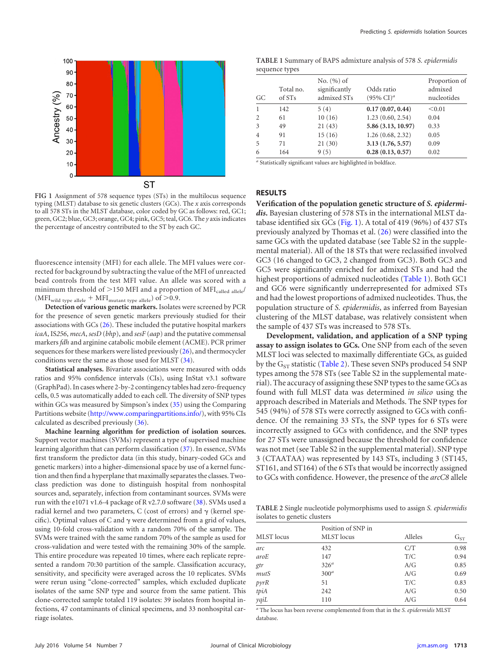



<span id="page-2-0"></span>**FIG 1** Assignment of 578 sequence types (STs) in the multilocus sequence typing (MLST) database to six genetic clusters (GCs). The *x* axis corresponds to all 578 STs in the MLST database, color coded by GC as follows: red, GC1; green, GC2; blue, GC3; orange, GC4; pink, GC5; teal, GC6. The *y* axis indicates the percentage of ancestry contributed to the ST by each GC.

fluorescence intensity (MFI) for each allele. The MFI values were corrected for background by subtracting the value of the MFI of unreacted bead controls from the test MFI value. An allele was scored with a minimum threshold of  $>$  150 MFI and a proportion of MFI $_{\rm{called\, allele}}/$  $(MFI<sub>wild type allele</sub> + MFI<sub>mutant type allele</sub>) of > 0.9.$ 

**Detection of various genetic markers.** Isolates were screened by PCR for the presence of seven genetic markers previously studied for their associations with GCs [\(26\)](#page-7-9). These included the putative hospital markers *icaA*, IS*256*, *mecA*, *sesD* (*bhp*), and *sesF* (*aap*) and the putative commensal markers *fdh* and arginine catabolic mobile element (ACME). PCR primer sequences for these markers were listed previously [\(26\)](#page-7-9), and thermocycler conditions were the same as those used for MLST [\(34\)](#page-7-17).

**Statistical analyses.** Bivariate associations were measured with odds ratios and 95% confidence intervals (CIs), using InStat v3.1 software (GraphPad). In cases where 2-by-2 contingency tables had zero-frequency cells, 0.5 was automatically added to each cell. The diversity of SNP types within GCs was measured by Simpson's index [\(35\)](#page-7-18) using the Comparing Partitions website [\(http://www.comparingpartitions.info/\)](http://www.comparingpartitions.info/), with 95% CIs calculated as described previously [\(36\)](#page-7-19).

**Machine learning algorithm for prediction of isolation sources.** Support vector machines (SVMs) represent a type of supervised machine learning algorithm that can perform classification [\(37\)](#page-7-20). In essence, SVMs first transform the predictor data (in this study, binary-coded GCs and genetic markers) into a higher-dimensional space by use of a kernel function and then find a hyperplane that maximally separates the classes. Twoclass prediction was done to distinguish hospital from nonhospital sources and, separately, infection from contaminant sources. SVMs were run with the e1071 v1.6-4 package of R v2.7.0 software [\(38\)](#page-7-21). SVMs used a radial kernel and two parameters, C (cost of errors) and  $\gamma$  (kernel specific). Optimal values of C and  $\gamma$  were determined from a grid of values, using 10-fold cross-validation with a random 70% of the sample. The SVMs were trained with the same random 70% of the sample as used for cross-validation and were tested with the remaining 30% of the sample. This entire procedure was repeated 10 times, where each replicate represented a random 70:30 partition of the sample. Classification accuracy, sensitivity, and specificity were averaged across the 10 replicates. SVMs were rerun using "clone-corrected" samples, which excluded duplicate isolates of the same SNP type and source from the same patient. This clone-corrected sample totaled 119 isolates: 39 isolates from hospital infections, 47 contaminants of clinical specimens, and 33 nonhospital carriage isolates.

<span id="page-2-1"></span>

| <b>TABLE 1 Summary of BAPS admixture analysis of 578 S. epidermidis</b> |  |
|-------------------------------------------------------------------------|--|
| sequence types                                                          |  |

| GC             | Total no.<br>of STs | No. $(\% )$ of<br>significantly<br>admixed STs | Odds ratio<br>$(95\% \text{ CI})^a$ | Proportion of<br>admixed<br>nucleotides |
|----------------|---------------------|------------------------------------------------|-------------------------------------|-----------------------------------------|
| 1              | 142                 | 5(4)                                           | 0.17(0.07, 0.44)                    | < 0.01                                  |
| 2              | 61                  | 10(16)                                         | 1.23(0.60, 2.54)                    | 0.04                                    |
| 3              | 49                  | 21(43)                                         | 5.86 (3.13, 10.97)                  | 0.33                                    |
| $\overline{4}$ | 91                  | 15(16)                                         | 1.26(0.68, 2.32)                    | 0.05                                    |
| 5              | 71                  | 21(30)                                         | 3.13(1.76, 5.57)                    | 0.09                                    |
| 6              | 164                 | 9(5)                                           | 0.28(0.13, 0.57)                    | 0.02                                    |

*<sup>a</sup>* Statistically significant values are highlighted in boldface.

#### **RESULTS**

**Verification of the population genetic structure of** *S. epidermidis***.** Bayesian clustering of 578 STs in the international MLST database identified six GCs [\(Fig. 1\)](#page-2-0). A total of 419 (96%) of 437 STs previously analyzed by Thomas et al. [\(26\)](#page-7-9) were classified into the same GCs with the updated database (see Table S2 in the supplemental material). All of the 18 STs that were reclassified involved GC3 (16 changed to GC3, 2 changed from GC3). Both GC3 and GC5 were significantly enriched for admixed STs and had the highest proportions of admixed nucleotides [\(Table 1\)](#page-2-1). Both GC1 and GC6 were significantly underrepresented for admixed STs and had the lowest proportions of admixed nucleotides. Thus, the population structure of *S. epidermidis*, as inferred from Bayesian clustering of the MLST database, was relatively consistent when the sample of 437 STs was increased to 578 STs.

**Development, validation, and application of a SNP typing assay to assign isolates to GCs.** One SNP from each of the seven MLST loci was selected to maximally differentiate GCs, as guided by the  $G_{ST}$  statistic [\(Table 2\)](#page-2-2). These seven SNPs produced 54 SNP types among the 578 STs (see Table S2 in the supplemental material). The accuracy of assigning these SNP types to the same GCs as found with full MLST data was determined *in silico* using the approach described in Materials and Methods. The SNP types for 545 (94%) of 578 STs were correctly assigned to GCs with confidence. Of the remaining 33 STs, the SNP types for 6 STs were incorrectly assigned to GCs with confidence, and the SNP types for 27 STs were unassigned because the threshold for confidence was not met (see Table S2 in the supplemental material). SNP type 3 (CTAATAA) was represented by 143 STs, including 3 (ST145, ST161, and ST164) of the 6 STs that would be incorrectly assigned to GCs with confidence. However, the presence of the *arcC8* allele

<span id="page-2-2"></span>**TABLE 2** Single nucleotide polymorphisms used to assign *S. epidermidis* isolates to genetic clusters

|                   | Position of SNP in |         |          |
|-------------------|--------------------|---------|----------|
| <b>MLST</b> locus | <b>MLST</b> locus  | Alleles | $G_{ST}$ |
| arc               | 432                | C/T     | 0.98     |
| aroE              | 147                | T/C     | 0.94     |
| gtr               | 326 <sup>a</sup>   | A/G     | 0.85     |
| mutS              | 300 <sup>a</sup>   | A/G     | 0.69     |
| pyrR              | 51                 | T/C     | 0.83     |
| tpiA              | 242                | A/G     | 0.50     |
| yqiL              | 110                | A/G     | 0.64     |

*<sup>a</sup>* The locus has been reverse complemented from that in the *S. epidermidis* MLST database.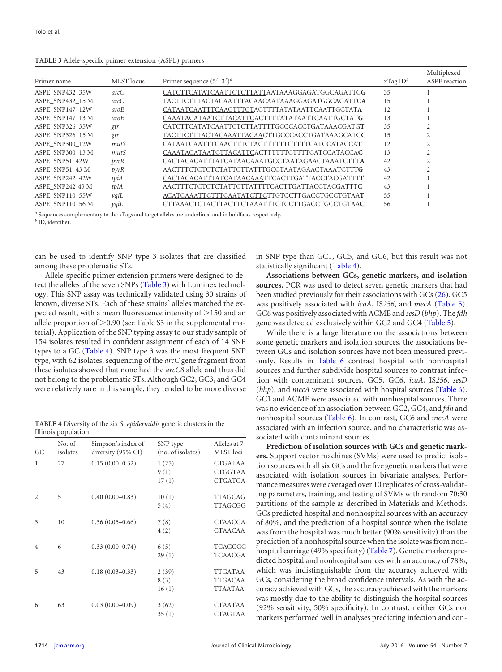<span id="page-3-0"></span>**TABLE 3** Allele-specific primer extension (ASPE) primers

| Primer name      | MLST locus | Primer sequence $(5'-3')^a$                            | $xTagID^b$ | Multiplexed<br>ASPE reaction |
|------------------|------------|--------------------------------------------------------|------------|------------------------------|
| ASPE SNP432 35W  | arcC       | CATCTTCATATCAATTCTCTTATTAATAAAGGAGATGGCAGATTCG         | 35         |                              |
| ASPE SNP432 15 M | arcC       | TACTTCTTTACTACAATTTACAACAATAAAGGAGATGGCAGATTC <b>A</b> | 15         |                              |
| ASPE SNP147 12W  | aroE       | CATAATCAATTTCAACTTTCTACTTTTATATAATTCAATTGCTATA         | 12         |                              |
| ASPE SNP147 13 M | aroE       | CAAATACATAATCTTACATTCACTTTTATATAATTCAATTGCTATG         | 13         |                              |
| ASPE SNP326 35W  | gtr        | CATCTTCATATCAATTCTCTTATTTTGCCCACCTGATAAACGATGT         | 35         |                              |
| ASPE SNP326 15 M | gtr        | TACTTCTTTACTACAAATTACAACTTGCCCACCTGATAAAGCATGC         | 15         |                              |
| ASPE SNP300 12W  | mutS       | CATAATCAATTTCAACTTTCTACTTTTTTTCTTTTCATCCATACCAT        | 12         |                              |
| ASPE SNP300 13 M | mutS       | CAAATACATAATCTTACATTCACTTTTTTCTTTTCATCCATACCAC         | 13         |                              |
| ASPE SNP51 42W   | pyrR       | CACTACACATTTATCATAACAAATGCCTAATAGAACTAAATCTTTA         | 42         |                              |
| ASPE SNP51 43 M  | pyrR       | AACTTTCTCTCTCTATTCTTATTTGCCTAATAGAACTAAATCTTTG         | 43         |                              |
| ASPE SNP242 42W  | tpiA       | CACTACACATTTATCATAACAAATTCACTTGATTACCTACGATTTT         | 42         |                              |
| ASPE SNP242-43 M | tpiA       | AACTTTCTCTCTCTATTCTTATTTTCACTTGATTACCTACGATTTC         | 43         |                              |
| ASPE SNP110 55W  | yqiL       |                                                        | 55         |                              |
| ASPE SNP110 56 M | yqiL       |                                                        | 56         |                              |

*<sup>a</sup>* Sequences complementary to the xTags and target alleles are underlined and in boldface, respectively. *<sup>b</sup>* ID, identifier.

can be used to identify SNP type 3 isolates that are classified among these problematic STs.

Allele-specific primer extension primers were designed to detect the alleles of the seven SNPs [\(Table 3\)](#page-3-0) with Luminex technology. This SNP assay was technically validated using 30 strains of known, diverse STs. Each of these strains' alleles matched the expected result, with a mean fluorescence intensity of  $>$ 150 and an allele proportion of  $>$  0.90 (see Table S3 in the supplemental material). Application of the SNP typing assay to our study sample of 154 isolates resulted in confident assignment of each of 14 SNP types to a GC [\(Table 4\)](#page-3-1). SNP type 3 was the most frequent SNP type, with 62 isolates; sequencing of the *arcC* gene fragment from these isolates showed that none had the *arcC8* allele and thus did not belong to the problematic STs. Although GC2, GC3, and GC4 were relatively rare in this sample, they tended to be more diverse

<span id="page-3-1"></span>**TABLE 4** Diversity of the six *S. epidermidis* genetic clusters in the Illinois population

| GC             | No. of<br>isolates | Simpson's index of<br>diversity (95% CI) | SNP type<br>(no. of isolates) | Alleles at 7<br>MLST loci                          |
|----------------|--------------------|------------------------------------------|-------------------------------|----------------------------------------------------|
| 1              | 27                 | $0.15(0.00 - 0.32)$                      | 1(25)<br>9(1)<br>17(1)        | <b>CTGATAA</b><br><b>CTGGTAA</b><br><b>CTGATGA</b> |
| $\mathfrak{D}$ | 5                  | $0.40(0.00 - 0.83)$                      | 10(1)<br>5(4)                 | <b>TTAGCAG</b><br><b>TTAGCGG</b>                   |
| 3              | 10                 | $0.36(0.05 - 0.66)$                      | 7(8)<br>4(2)                  | <b>CTAACGA</b><br><b>CTAACAA</b>                   |
| $\overline{4}$ | 6                  | $0.33(0.00-0.74)$                        | 6(5)<br>29(1)                 | <b>TCAGCGG</b><br><b>TCAACGA</b>                   |
| 5              | 43                 | $0.18(0.03 - 0.33)$                      | 2(39)<br>8(3)<br>16(1)        | <b>TTGATAA</b><br><b>TTGACAA</b><br><b>TTAATAA</b> |
| 6              | 63                 | $0.03(0.00-0.09)$                        | 3(62)<br>35(1)                | <b>CTAATAA</b><br><b>CTAGTAA</b>                   |

in SNP type than GC1, GC5, and GC6, but this result was not statistically significant [\(Table 4\)](#page-3-1).

**Associations between GCs, genetic markers, and isolation sources.** PCR was used to detect seven genetic markers that had been studied previously for their associations with GCs [\(26\)](#page-7-9). GC5 was positively associated with *icaA*, IS*256*, and *mecA* [\(Table 5\)](#page-4-0). GC6 was positively associatedwith ACME and *sesD* (*bhp*). The *fdh* gene was detected exclusively within GC2 and GC4 [\(Table 5\)](#page-4-0).

While there is a large literature on the associations between some genetic markers and isolation sources, the associations between GCs and isolation sources have not been measured previously. Results in [Table 6](#page-5-0) contrast hospital with nonhospital sources and further subdivide hospital sources to contrast infection with contaminant sources. GC5, GC6, *icaA*, IS*256*, *sesD* (*bhp*), and *mecA* were associated with hospital sources [\(Table 6\)](#page-5-0). GC1 and ACME were associated with nonhospital sources. There was no evidence of an association between GC2, GC4, and *fdh* and nonhospital sources [\(Table 6\)](#page-5-0). In contrast, GC6 and *mecA* were associated with an infection source, and no characteristic was associated with contaminant sources.

**Prediction of isolation sources with GCs and genetic markers.** Support vector machines (SVMs) were used to predict isolation sources with all six GCs and the five genetic markers that were associated with isolation sources in bivariate analyses. Performance measures were averaged over 10 replicates of cross-validating parameters, training, and testing of SVMs with random 70:30 partitions of the sample as described in Materials and Methods. GCs predicted hospital and nonhospital sources with an accuracy of 80%, and the prediction of a hospital source when the isolate was from the hospital was much better (90% sensitivity) than the prediction of a nonhospital source when the isolate was from non-hospital carriage (49% specificity) [\(Table 7\)](#page-5-1). Genetic markers predicted hospital and nonhospital sources with an accuracy of 78%, which was indistinguishable from the accuracy achieved with GCs, considering the broad confidence intervals. As with the accuracy achieved with GCs, the accuracy achieved with the markers was mostly due to the ability to distinguish the hospital sources (92% sensitivity, 50% specificity). In contrast, neither GCs nor markers performed well in analyses predicting infection and con-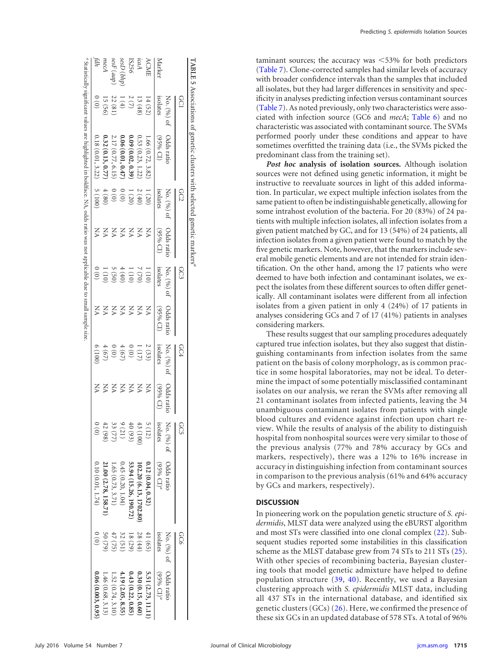|                                                     | SCI                    |                          | GC2                    |                          | GC <sub>3</sub>                        |                          | GC4                      |                          | GCS                               |                        | 909                               |                   |
|-----------------------------------------------------|------------------------|--------------------------|------------------------|--------------------------|----------------------------------------|--------------------------|--------------------------|--------------------------|-----------------------------------|------------------------|-----------------------------------|-------------------|
| <b>Marke</b>                                        | No. (%) of<br>isolates | Odds ratio<br>$(12\%56)$ | No. (%) of<br>isolates | Odds ratio<br>$(12\%56)$ | isolates<br>No. $(%)$ of               | Odds ratio<br>$(12\%56)$ | No. $(%)$ of<br>isolates | Odds ratio<br>$(12\%56)$ | isolates<br>No. (%) of Odds ratio | $(12\%56)$             | isolates<br>No. (%) of Odds ratio | $(12\%56)$        |
|                                                     | 14(52)                 | 1.66 (0.72, 3.82         | 1(20)                  | X                        | (01)1                                  | KN                       | 2(33)                    | X                        | 5(12)                             | 0.12(0.04, 0.32)       | 41(65)                            | 5.51 (2.73, 11.1) |
| $\Lambda{\rm CMI}$ ica<br>A                         | 13(48)                 | 0.53(0.23, 1.22)         | 2(40)                  | XX                       | (02) 2                                 | XX                       | 1(17)                    | X                        | 43(100)                           | 102.20 (6.13, 1702.80) | 28 (44)                           | 0.30(0.15, 0.60)  |
| IS256                                               | $2\, (7)$              | 0.09(0.02, 0.39)         | (20)                   | XÄ                       | $(01)$ I                               | X                        | (0)                      | X                        | 40 (93)                           | 53.94 (15.26, 190.72)  | 18(29)                            | 0.43(0.22, 0.85)  |
| sesD (bht                                           | (4)                    | 0.06(0.01, 0.47)         | (0)                    | ΥN                       | 4(40)                                  | УN                       | 4(67)                    | УN                       | 9(21)                             | 0.45(0.20, 1.04)       | 32 (51)                           | 4.19 (2.05, 8.55) |
| $\operatorname{ssF}\left(\operatorname{aap}\right)$ | 22 (81                 | 2.17 (0.77, 6.15)        | (0)                    | XX                       | 5(50)                                  | X                        | (0)                      | X                        | 33 (77)                           | 1.65 (0.73, 3.71)      | 47(75)                            | 1.52 (0.74, 3.10) |
| тесА                                                | 15 (56                 | 0.32(0.13, 0.77)         | 4(80)                  | KN                       | 1(10)                                  | YN                       | 4(67)                    | X                        | 42 (98                            | 21.00 (2.78, 158.71    | (62)05                            | 1.46 (0.68, 3.13) |
| fdh                                                 | $(0)$ 0                | 0.18(0.01, 3.22)         | 5(1000)                | K                        | $\begin{pmatrix} 0 \\ 0 \end{pmatrix}$ |                          | (1000)                   | Z                        | (0)                               | 0.10(0.01, 1.74)       | (0)0                              | 0.06 (0.003, 0.95 |

<span id="page-4-0"></span>taminant sources; the accuracy was  $\leq$ 53% for both predictors [\(Table 7\)](#page-5-1). Clone-corrected samples had similar levels of accuracy with broader confidence intervals than the samples that included all isolates, but they had larger differences in sensitivity and specificity in analyses predicting infection versus contaminant sources [\(Table 7\)](#page-5-1). As noted previously, only two characteristics were associated with infection source (GC6 and *mecA*; [Table 6\)](#page-5-0) and no characteristic was associated with contaminant source. The SVMs performed poorly under these conditions and appear to have sometimes overfitted the training data (i.e., the SVMs picked the predominant class from the training set).

*Post hoc* **analysis of isolation sources.** Although isolation sources were not defined using genetic information, it might be instructive to reevaluate sources in light of this added information. In particular, we expect multiple infection isolates from the same patient to often be indistinguishable genetically, allowing for some intrahost evolution of the bacteria. For 20 (83%) of 24 patients with multiple infection isolates, all infection isolates from a given patient matched by GC, and for 13 (54%) of 24 patients, all infection isolates from a given patient were found to match by the five genetic markers. Note, however, that the markers include several mobile genetic elements and are not intended for strain identification. On the other hand, among the 17 patients who were deemed to have both infection and contaminant isolates, we expect the isolates from these different sources to often differ genetically. All contaminant isolates were different from all infection isolates from a given patient in only 4 (24%) of 17 patients in analyses considering GCs and 7 of 17 (41%) patients in analyses considering markers.

These results suggest that our sampling procedures adequately captured true infection isolates, but they also suggest that distinguishing contaminants from infection isolates from the same patient on the basis of colony morphology, as is common practice in some hospital laboratories, may not be ideal. To determine the impact of some potentially misclassified contaminant isolates on our analysis, we reran the SVMs after removing all 21 contaminant isolates from infected patients, leaving the 34 unambiguous contaminant isolates from patients with single blood cultures and evidence against infection upon chart review. While the results of analysis of the ability to distinguish hospital from nonhospital sources were very similar to those of the previous analysis (77% and 78% accuracy by GCs and markers, respectively), there was a 12% to 16% increase in accuracy in distinguishing infection from contaminant sources in comparison to the previous analysis (61% and 64% accuracy by GCs and markers, respectively).

# **DISCUSSION**

In pioneering work on the population genetic structure of *S. epidermidis*, MLST data were analyzed using the eBURST algorithm and most STs were classified into one clonal complex [\(22\)](#page-7-22). Subsequent studies reported some instabilities in this classification scheme as the MLST database grew from 74 STs to 211 STs [\(25\)](#page-7-8). With other species of recombining bacteria, Bayesian clustering tools that model genetic admixture have helped to define population structure [\(39,](#page-7-23) [40\)](#page-7-24). Recently, we used a Bayesian clustering approach with *S. epidermidis* MLST data, including all 437 STs in the international database, and identified six genetic clusters  $(GCs)$  [\(26\)](#page-7-9). Here, we confirmed the presence of these six GCs in an updated database of 578 STs. A total of 96%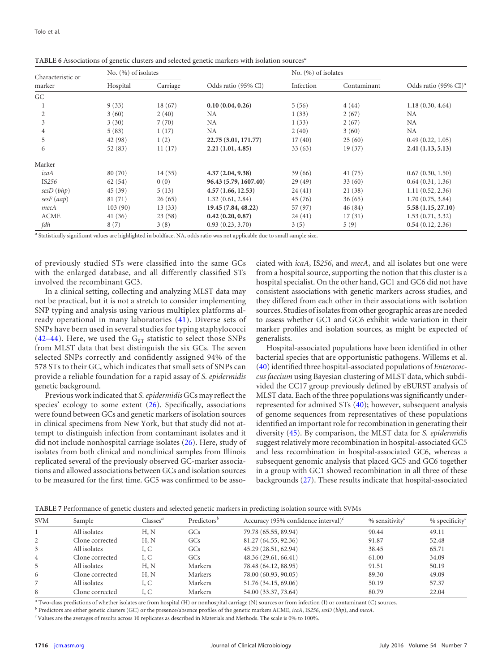| Characteristic or | No. $(\% )$ of isolates |          |                       | No. $(%)$ of isolates |             |                                  |
|-------------------|-------------------------|----------|-----------------------|-----------------------|-------------|----------------------------------|
| marker            | Hospital                | Carriage | Odds ratio (95% CI)   | Infection             | Contaminant | Odds ratio (95% CI) <sup>a</sup> |
| GC                |                         |          |                       |                       |             |                                  |
|                   | 9(33)                   | 18(67)   | 0.10(0.04, 0.26)      | 5(56)                 | 4(44)       | 1.18(0.30, 4.64)                 |
| 2                 | 3(60)                   | 2(40)    | NA                    | 1(33)                 | 2(67)       | NA                               |
| 3                 | 3(30)                   | 7(70)    | <b>NA</b>             | 1(33)                 | 2(67)       | <b>NA</b>                        |
| 4                 | 5(83)                   | 1(17)    | <b>NA</b>             | 2(40)                 | 3(60)       | NA                               |
| 5                 | 42 (98)                 | 1(2)     | 22.75 (3.01, 171.77)  | 17(40)                | 25(60)      | 0.49(0.22, 1.05)                 |
| 6                 | 52(83)                  | 11(17)   | 2.21(1.01, 4.85)      | 33(63)                | 19(37)      | 2.41(1.13, 5.13)                 |
| Marker            |                         |          |                       |                       |             |                                  |
| icaA              | 80 (70)                 | 14(35)   | 4.37(2.04, 9.38)      | 39(66)                | 41(75)      | 0.67(0.30, 1.50)                 |
| IS256             | 62(54)                  | 0(0)     | 96.43 (5.79, 1607.40) | 29(49)                | 33(60)      | 0.64(0.31, 1.36)                 |
| sesD(bhp)         | 45 (39)                 | 5(13)    | 4.57(1.66, 12.53)     | 24(41)                | 21(38)      | 1.11(0.52, 2.36)                 |
| sesF(aap)         | 81(71)                  | 26(65)   | 1.32(0.61, 2.84)      | 45 (76)               | 36(65)      | 1.70(0.75, 3.84)                 |
| mecA              | 103(90)                 | 13(33)   | 19.45 (7.84, 48.22)   | 57 (97)               | 46(84)      | 5.58(1.15, 27.10)                |
| <b>ACME</b>       | 41(36)                  | 23(58)   | 0.42(0.20, 0.87)      | 24(41)                | 17(31)      | 1.53(0.71, 3.32)                 |
| fdh               | 8(7)                    | 3(8)     | 0.93(0.23, 3.70)      | 3(5)                  | 5(9)        | 0.54(0.12, 2.36)                 |

<span id="page-5-0"></span>**TABLE 6** Associations of genetic clusters and selected genetic markers with isolation sources*<sup>a</sup>*

*<sup>a</sup>* Statistically significant values are highlighted in boldface. NA, odds ratio was not applicable due to small sample size.

of previously studied STs were classified into the same GCs with the enlarged database, and all differently classified STs involved the recombinant GC3.

In a clinical setting, collecting and analyzing MLST data may not be practical, but it is not a stretch to consider implementing SNP typing and analysis using various multiplex platforms already operational in many laboratories [\(41\)](#page-7-25). Diverse sets of SNPs have been used in several studies for typing staphylococci [\(42](#page-7-26)[–](#page-7-27)[44\)](#page-7-28). Here, we used the  $G_{ST}$  statistic to select those SNPs from MLST data that best distinguish the six GCs. The seven selected SNPs correctly and confidently assigned 94% of the 578 STs to their GC, which indicates that small sets of SNPs can provide a reliable foundation for a rapid assay of *S. epidermidis* genetic background.

Previous work indicated that *S. epidermidis* GCs may reflect the species' ecology to some extent [\(26\)](#page-7-9). Specifically, associations were found between GCs and genetic markers of isolation sources in clinical specimens from New York, but that study did not attempt to distinguish infection from contaminant isolates and it did not include nonhospital carriage isolates [\(26\)](#page-7-9). Here, study of isolates from both clinical and nonclinical samples from Illinois replicated several of the previously observed GC-marker associations and allowed associations between GCs and isolation sources to be measured for the first time. GC5 was confirmed to be associated with *icaA*, IS*256*, and *mecA*, and all isolates but one were from a hospital source, supporting the notion that this cluster is a hospital specialist. On the other hand, GC1 and GC6 did not have consistent associations with genetic markers across studies, and they differed from each other in their associations with isolation sources. Studies of isolates from other geographic areas are needed to assess whether GC1 and GC6 exhibit wide variation in their marker profiles and isolation sources, as might be expected of generalists.

Hospital-associated populations have been identified in other bacterial species that are opportunistic pathogens. Willems et al. [\(40\)](#page-7-24) identified three hospital-associated populations of *Enterococcus faecium* using Bayesian clustering of MLST data, which subdivided the CC17 group previously defined by eBURST analysis of MLST data. Each of the three populations was significantly underrepresented for admixed STs [\(40\)](#page-7-24); however, subsequent analysis of genome sequences from representatives of these populations identified an important role for recombination in generating their diversity [\(45\)](#page-7-29). By comparison, the MLST data for *S. epidermidis* suggest relatively more recombination in hospital-associated GC5 and less recombination in hospital-associated GC6, whereas a subsequent genomic analysis that placed GC5 and GC6 together in a group with GC1 showed recombination in all three of these backgrounds [\(27\)](#page-7-10). These results indicate that hospital-associated

<span id="page-5-1"></span>

| TABLE 7 Performance of genetic clusters and selected genetic markers in predicting isolation source with SVMs |  |  |
|---------------------------------------------------------------------------------------------------------------|--|--|
|                                                                                                               |  |  |

|                | $\tilde{}$      |                        |                         | $\tilde{}$                                    |                                           |                                           |
|----------------|-----------------|------------------------|-------------------------|-----------------------------------------------|-------------------------------------------|-------------------------------------------|
| <b>SVM</b>     | Sample          | $\textsf{Classes}^{a}$ | Predictors <sup>b</sup> | Accuracy (95% confidence interval) $\epsilon$ | $%$ sensitivity <sup><math>c</math></sup> | $%$ specificity <sup><math>c</math></sup> |
|                | All isolates    | H, N                   | GCs                     | 79.78 (65.55, 89.94)                          | 90.44                                     | 49.11                                     |
| 2              | Clone corrected | H, N                   | GCs                     | 81.27 (64.55, 92.36)                          | 91.87                                     | 52.48                                     |
| 3              | All isolates    | I. C                   | GCs                     | 45.29 (28.51, 62.94)                          | 38.45                                     | 65.71                                     |
| $\overline{4}$ | Clone corrected | I, C                   | GCs                     | 48.36 (29.61, 66.41)                          | 61.00                                     | 34.09                                     |
| 5              | All isolates    | H, N                   | Markers                 | 78.48 (64.12, 88.95)                          | 91.51                                     | 50.19                                     |
| 6              | Clone corrected | H, N                   | Markers                 | 78.00 (60.93, 90.05)                          | 89.30                                     | 49.09                                     |
|                | All isolates    | I. C                   | Markers                 | 51.76 (34.15, 69.06)                          | 50.19                                     | 57.37                                     |
| 8              | Clone corrected | I, C                   | Markers                 | 54.00 (33.37, 73.64)                          | 80.79                                     | 22.04                                     |
|                |                 |                        |                         |                                               |                                           |                                           |

*<sup>a</sup>* Two-class predictions of whether isolates are from hospital (H) or nonhospital carriage (N) sources or from infection (I) or contaminant (C) sources.

*<sup>b</sup>* Predictors are either genetic clusters (GC) or the presence/absence profiles of the genetic markers ACME, *icaA*, IS*256*, *sesD* (*bhp*), and *mecA*.

*<sup>c</sup>* Values are the averages of results across 10 replicates as described in Materials and Methods. The scale is 0% to 100%.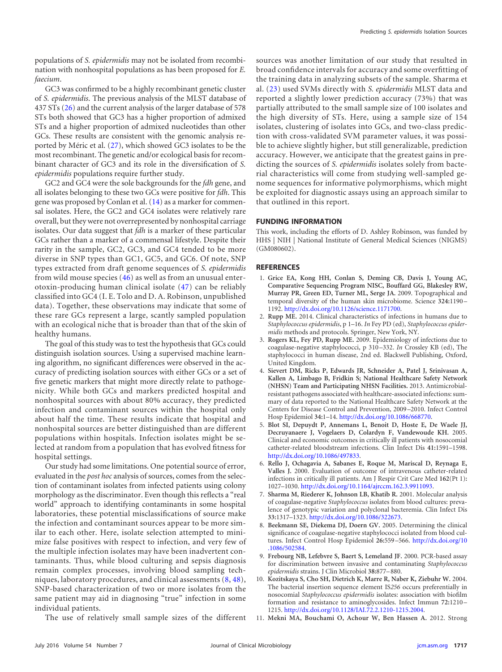populations of *S. epidermidis* may not be isolated from recombination with nonhospital populations as has been proposed for *E. faecium*.

GC3 was confirmed to be a highly recombinant genetic cluster of *S. epidermidis*. The previous analysis of the MLST database of 437 STs [\(26\)](#page-7-9) and the current analysis of the larger database of 578 STs both showed that GC3 has a higher proportion of admixed STs and a higher proportion of admixed nucleotides than other GCs. These results are consistent with the genomic analysis reported by Méric et al. [\(27\)](#page-7-10), which showed GC3 isolates to be the most recombinant. The genetic and/or ecological basis for recombinant character of GC3 and its role in the diversification of *S. epidermidis* populations require further study.

GC2 and GC4 were the sole backgrounds for the *fdh* gene, and all isolates belonging to these two GCs were positive for *fdh*. This gene was proposed by Conlan et al. [\(14\)](#page-7-2) as a marker for commensal isolates. Here, the GC2 and GC4 isolates were relatively rare overall, but they were not overrepresented by nonhospital carriage isolates. Our data suggest that *fdh* is a marker of these particular GCs rather than a marker of a commensal lifestyle. Despite their rarity in the sample, GC2, GC3, and GC4 tended to be more diverse in SNP types than GC1, GC5, and GC6. Of note, SNP types extracted from draft genome sequences of *S. epidermidis* from wild mouse species [\(46\)](#page-8-0) as well as from an unusual enterotoxin-producing human clinical isolate [\(47\)](#page-8-1) can be reliably classified into GC4 (I. E. Tolo and D. A. Robinson, unpublished data). Together, these observations may indicate that some of these rare GCs represent a large, scantly sampled population with an ecological niche that is broader than that of the skin of healthy humans.

The goal of this study was to test the hypothesis that GCs could distinguish isolation sources. Using a supervised machine learning algorithm, no significant differences were observed in the accuracy of predicting isolation sources with either GCs or a set of five genetic markers that might more directly relate to pathogenicity. While both GCs and markers predicted hospital and nonhospital sources with about 80% accuracy, they predicted infection and contaminant sources within the hospital only about half the time. These results indicate that hospital and nonhospital sources are better distinguished than are different populations within hospitals. Infection isolates might be selected at random from a population that has evolved fitness for hospital settings.

Our study had some limitations. One potential source of error, evaluated in the *post hoc* analysis of sources, comes from the selection of contaminant isolates from infected patients using colony morphology as the discriminator. Even though this reflects a "real world" approach to identifying contaminants in some hospital laboratories, these potential misclassifications of source make the infection and contaminant sources appear to be more similar to each other. Here, isolate selection attempted to minimize false positives with respect to infection, and very few of the multiple infection isolates may have been inadvertent contaminants. Thus, while blood culturing and sepsis diagnosis remain complex processes, involving blood sampling techniques, laboratory procedures, and clinical assessments [\(8,](#page-6-7) [48\)](#page-8-2), SNP-based characterization of two or more isolates from the same patient may aid in diagnosing "true" infection in some individual patients.

The use of relatively small sample sizes of the different

sources was another limitation of our study that resulted in broad confidence intervals for accuracy and some overfitting of the training data in analyzing subsets of the sample. Sharma et al. [\(23\)](#page-7-6) used SVMs directly with *S. epidermidis* MLST data and reported a slightly lower prediction accuracy (73%) that was partially attributed to the small sample size of 100 isolates and the high diversity of STs. Here, using a sample size of 154 isolates, clustering of isolates into GCs, and two-class prediction with cross-validated SVM parameter values, it was possible to achieve slightly higher, but still generalizable, prediction accuracy. However, we anticipate that the greatest gains in predicting the sources of *S. epidermidis* isolates solely from bacterial characteristics will come from studying well-sampled genome sequences for informative polymorphisms, which might be exploited for diagnostic assays using an approach similar to that outlined in this report.

#### **FUNDING INFORMATION**

This work, including the efforts of D. Ashley Robinson, was funded by HHS | NIH | National Institute of General Medical Sciences (NIGMS) (GM080602).

#### <span id="page-6-0"></span>**REFERENCES**

- 1. **Grice EA, Kong HH, Conlan S, Deming CB, Davis J, Young AC, Comparative Sequencing Program NISC, Bouffard GG, Blakesley RW, Murray PR, Green ED, Turner ML, Serge JA.** 2009. Topographical and temporal diversity of the human skin microbiome. Science **324:**1190 – 1192. [http://dx.doi.org/10.1126/science.1171700.](http://dx.doi.org/10.1126/science.1171700)
- <span id="page-6-1"></span>2. **Rupp ME.** 2014. Clinical characteristics of infections in humans due to *Staphylococcus epidermidis*, p 1–16. *In* Fey PD (ed), *Staphylococcus epidermidis* methods and protocols. Springer, New York, NY.
- <span id="page-6-2"></span>3. **Rogers KL, Fey PD, Rupp ME.** 2009. Epidemiology of infections due to coagulase-negative staphylococci, p 310 –332. *In* Crossley KB (ed), The staphylococci in human disease, 2nd ed. Blackwell Publishing, Oxford, United Kingdom.
- <span id="page-6-3"></span>4. **Sievert DM, Ricks P, Edwards JR, Schneider A, Patel J, Srinivasan A, Kallen A, Limbago B, Fridkin S; National Healthcare Safety Network (NHSN) Team and Participating NHSN Facilities.** 2013. Antimicrobialresistant pathogens associated with healthcare-associated infections: summary of data reported to the National Healthcare Safety Network at the Centers for Disease Control and Prevention, 2009 –2010. Infect Control Hosp Epidemiol **34:**1–14. [http://dx.doi.org/10.1086/668770.](http://dx.doi.org/10.1086/668770)
- <span id="page-6-4"></span>5. **Blot SI, Depuydt P, Annemans L, Benoit D, Hoste E, De Waele JJ, Decruyanaere J, Vogelaers D, Colardyn F, Vandewoude KH.** 2005. Clinical and economic outcomes in critically ill patients with nosocomial catheter-related bloodstream infections. Clin Infect Dis **41:**1591–1598. [http://dx.doi.org/10.1086/497833.](http://dx.doi.org/10.1086/497833)
- <span id="page-6-5"></span>6. **Rello J, Ochagavia A, Sabanes E, Roque M, Mariscal D, Reynaga E, Valles J.** 2000. Evaluation of outcome of intravenous catheter-related infections in critically ill patients. Am J Respir Crit Care Med **162**(Pt 1)**:** 1027–1030. [http://dx.doi.org/10.1164/ajrccm.162.3.9911093.](http://dx.doi.org/10.1164/ajrccm.162.3.9911093)
- <span id="page-6-6"></span>7. **Sharma M, Riederer K, Johnson LB, Khatib R.** 2001. Molecular analysis of coagulase-negative *Staphylococcus* isolates from blood cultures: prevalence of genotypic variation and polyclonal bacteremia. Clin Infect Dis **33:**1317–1323. [http://dx.doi.org/10.1086/322673.](http://dx.doi.org/10.1086/322673)
- <span id="page-6-7"></span>8. **Beekmann SE, Diekema DJ, Doern GV.** 2005. Determining the clinical significance of coagulase-negative staphylococci isolated from blood cultures. Infect Control Hosp Epidemiol **26:**559 –566. [http://dx.doi.org/10](http://dx.doi.org/10.1086/502584) [.1086/502584.](http://dx.doi.org/10.1086/502584)
- <span id="page-6-8"></span>9. **Frebourg NB, Lefebvre S, Baert S, Lemeland JF.** 2000. PCR-based assay for discrimination between invasive and contaminating *Staphylococcus epidermidis* strains. J Clin Microbiol **38:**877– 880.
- 10. **Kozitskaya S, Cho SH, Dietrich K, Marre R, Naber K, Ziebuhr W.** 2004. The bacterial insertion sequence element IS*256* occurs preferentially in nosocomial *Staphylococcus epidermidis* isolates: association with biofilm formation and resistance to aminoglycosides. Infect Immun **72:**1210 – 1215. [http://dx.doi.org/10.1128/IAI.72.2.1210-1215.2004.](http://dx.doi.org/10.1128/IAI.72.2.1210-1215.2004)
- 11. **Mekni MA, Bouchami O, Achour W, Ben Hassen A.** 2012. Strong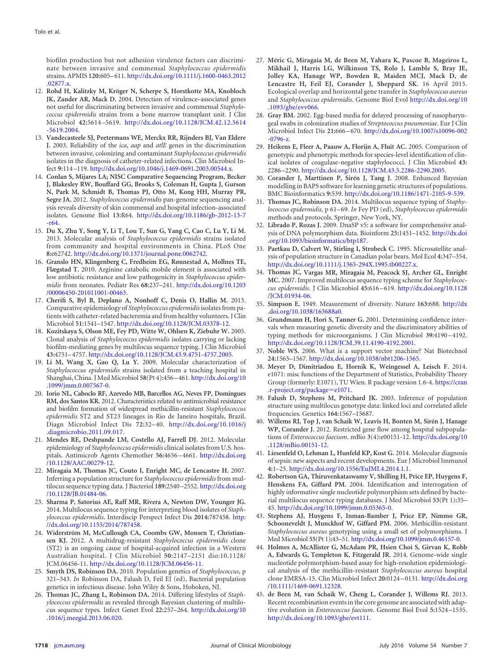biofilm production but not adhesion virulence factors can discriminate between invasive and commensal *Staphylococcus epidermidis* strains. APMIS **120:**605– 611. [http://dx.doi.org/10.1111/j.1600-0463.2012](http://dx.doi.org/10.1111/j.1600-0463.2012.02877.x) [.02877.x.](http://dx.doi.org/10.1111/j.1600-0463.2012.02877.x)

- <span id="page-7-0"></span>12. **Rohd H, Kalitzky M, Kröger N, Scherpe S, Horstkotte MA, Knobloch JK, Zander AR, Mack D.** 2004. Detection of virulence–associated genes not useful for discriminating between invasive and commensal *Staphylococcus epidermidis* strains from a bone marrow transplant unit. J Clin Microbiol **42:**5614 –5619. [http://dx.doi.org/10.1128/JCM.42.12.5614](http://dx.doi.org/10.1128/JCM.42.12.5614-5619.2004) [-5619.2004.](http://dx.doi.org/10.1128/JCM.42.12.5614-5619.2004)
- <span id="page-7-1"></span>13. **Vandecasteele SJ, Peetermans WE, Merckx RR, Rijnders BJ, Van Eldere J.** 2003. Reliability of the *ica*, *aap* and *atlE* genes in the discrimination between invasive, colonizing and contaminant *Staphylococcus epidermidis* isolates in the diagnosis of catheter-related infections. Clin Microbiol Infect **9:**114 –119. [http://dx.doi.org/10.1046/j.1469-0691.2003.00544.x.](http://dx.doi.org/10.1046/j.1469-0691.2003.00544.x)
- <span id="page-7-2"></span>14. **Conlan S, Mijares LA; NISC Comparative Sequencing Program, Becker J, Blakesley RW, Bouffard GG, Brooks S, Coleman H, Gupta J, Gurson N, Park M, Schmidt B, Thomas PJ, Otto M, Kong HH, Murray PR, Segre JA.** 2012. *Staphylococcus epidermidis* pan-genome sequencing analysis reveals diversity of skin commensal and hospital infection-associated isolates. Genome Biol **13:**R64. [http://dx.doi.org/10.1186/gb-2012-13-7](http://dx.doi.org/10.1186/gb-2012-13-7-r64) [-r64.](http://dx.doi.org/10.1186/gb-2012-13-7-r64)
- <span id="page-7-3"></span>15. **Du X, Zhu Y, Song Y, Li T, Lou T, Sun G, Yang C, Cao C, Lu Y, Li M.** 2013. Molecular analysis of *Staphylococcus epidermidis* strains isolated from community and hospital environments in China. PLoS One **8:**e62742. [http://dx.doi.org/10.1371/journal.pone.0062742.](http://dx.doi.org/10.1371/journal.pone.0062742)
- <span id="page-7-4"></span>16. **Granslo HN, Klingenberg C, Fredheim EG, Rønnestad A, Mollnes TE, Flægstad T.** 2010. Arginine catabolic mobile element is associated with low antibiotic resistance and low pathogenicity in *Staphylococcus epidermidis* from neonates. Pediatr Res **68:**237–241. [http://dx.doi.org/10.1203](http://dx.doi.org/10.1203/00006450-201011001-00463) [/00006450-201011001-00463.](http://dx.doi.org/10.1203/00006450-201011001-00463)
- <span id="page-7-5"></span>17. **Cherifi S, Byl B, Deplano A, Nonhoff C, Denis O, Hallin M.** 2013. Comparative epidemiology of *Staphylococcus epidermidis*isolates from patients with catheter-related bacteremia and from healthy volunteers. J Clin Microbiol **51:**1541–1547. [http://dx.doi.org/10.1128/JCM.03378-12.](http://dx.doi.org/10.1128/JCM.03378-12)
- 18. **Kozitskaya S, Olson ME, Fey PD, Witte W, Ohlsen K, Ziebuhr W.** 2005. Clonal analysis of *Staphylococcus epidermidis* isolates carrying or lacking biofilm-mediating genes by multilocus sequence typing. J Clin Microbiol **43:**4751– 4757. [http://dx.doi.org/10.1128/JCM.43.9.4751-4757.2005.](http://dx.doi.org/10.1128/JCM.43.9.4751-4757.2005)
- 19. **Li M, Wang X, Gao Q, Lu Y.** 2009. Molecular characterization of *Staphylococcus epidermidis* strains isolated from a teaching hospital in Shanghai, China. J Med Microbiol **58**(Pt 4)**:**456 – 461. [http://dx.doi.org/10](http://dx.doi.org/10.1099/jmm.0.007567-0) [.1099/jmm.0.007567-0.](http://dx.doi.org/10.1099/jmm.0.007567-0)
- 20. **Iorio NL, Caboclo RF, Azevedo MB, Barcellos AG, Neves FP, Domingues RM, dos Santos KR.** 2012. Characteristics related to antimicrobial resistance and biofilm formation of widespread methicillin-resistant *Staphylococcus epidermidis* ST2 and ST23 lineages in Rio de Janeiro hospitals, Brazil. Diagn Microbiol Infect Dis **72:**32– 40. [http://dx.doi.org/10.1016/j](http://dx.doi.org/10.1016/j.diagmicrobio.2011.09.017) [.diagmicrobio.2011.09.017.](http://dx.doi.org/10.1016/j.diagmicrobio.2011.09.017)
- 21. **Mendes RE, Deshpande LM, Costello AJ, Farrell DJ.** 2012. Molecular epidemiology of *Staphylococcus epidermidis* clinical isolates from U.S. hospitals. Antimicrob Agents Chemother **56:**4656 – 4661. [http://dx.doi.org](http://dx.doi.org/10.1128/AAC.00279-12) [/10.1128/AAC.00279-12.](http://dx.doi.org/10.1128/AAC.00279-12)
- <span id="page-7-22"></span>22. **Miragaia M, Thomas JC, Couto I, Enright MC, de Lencastre H.** 2007. Inferring a population structure for *Staphylococcus epidermidis* from multilocus sequence typing data. J Bacteriol **189:**2540 –2552. [http://dx.doi.org](http://dx.doi.org/10.1128/JB.01484-06) [/10.1128/JB.01484-06.](http://dx.doi.org/10.1128/JB.01484-06)
- <span id="page-7-6"></span>23. **Sharma P, Satorius AE, Raff MR, Rivera A, Newton DW, Younger JG.** 2014. Multilocus sequence typing for interpreting blood isolates of *Staphylococcus epidermidis*. Interdiscip Perspect Infect Dis **2014:**787458. [http:](http://dx.doi.org/10.1155/2014/787458) [//dx.doi.org/10.1155/2014/787458.](http://dx.doi.org/10.1155/2014/787458)
- <span id="page-7-7"></span>24. **Widerström M, McCullough CA, Coombs GW, Monsen T, Christiansen KJ.** 2012. A multidrug-resistant *Staphylococcus epidermidis* clone (ST2) is an ongoing cause of hospital-acquired infection in a Western Australian hospital. J Clin Microbiol **50:**2147–2151 dio:10.1128/ JCM.06456-11. [http://dx.doi.org/10.1128/JCM.06456-11.](http://dx.doi.org/10.1128/JCM.06456-11)
- <span id="page-7-9"></span><span id="page-7-8"></span>25. **Smyth DS, Robinson DA.** 2010. Population genetics of *Staphylococcus*, p 321–343. *In* Robinson DA, Falush D, Feil EJ (ed), Bacterial population genetics in infectious disease. John Wiley & Sons, Hoboken, NJ.
- 26. **Thomas JC, Zhang L, Robinson DA.** 2014. Differing lifestyles of *Staphylococcus epidermidis* as revealed through Bayesian clustering of multilocus sequence types. Infect Genet Evol **22:**257–264. [http://dx.doi.org/10](http://dx.doi.org/10.1016/j.meegid.2013.06.020) [.1016/j.meegid.2013.06.020.](http://dx.doi.org/10.1016/j.meegid.2013.06.020)
- <span id="page-7-10"></span>27. **Méric G, Miragaia M, de Been M, Yahara K, Pascoe B, Mageiros L, Mikhail J, Harris LG, Wilkinson TS, Rolo J, Lamble S, Bray JE, Jolley KA, Hanage WP, Bowden R, Maiden MCJ, Mack D, de Lencastre H, Feil EJ, Corander J, Sheppard SK.** 16 April 2015. Ecological overlap and horizontal gene transfer in *Staphylococcus aureus* and *Staphylococcus epidermidis*. Genome Biol Evol [http://dx.doi.org/10](http://dx.doi.org/10.1093/gbe/evv066) [.1093/gbe/evv066.](http://dx.doi.org/10.1093/gbe/evv066)
- <span id="page-7-11"></span>28. **Gray BM.** 2002. Egg-based media for delayed processing of nasopharyngeal swabs in colonization studies of *Streptococcus pneumoniae*. Eur J Clin Microbiol Infect Dis **21:**666 – 670. [http://dx.doi.org/10.1007/s10096-002](http://dx.doi.org/10.1007/s10096-002-0796-z) [-0796-z.](http://dx.doi.org/10.1007/s10096-002-0796-z)
- <span id="page-7-12"></span>29. **Heikens E, Fleer A, Paauw A, Florijn A, Fluit AC.** 2005. Comparison of genotypic and phenotypic methods for species-level identification of clinical isolates of coagulase-negative staphylococci. J Clin Microbiol **43:** 2286 –2290. [http://dx.doi.org/10.1128/JCM.43.5.2286-2290.2005.](http://dx.doi.org/10.1128/JCM.43.5.2286-2290.2005)
- <span id="page-7-13"></span>30. **Corander J, Marttinen P, Sirén J, Tang J.** 2008. Enhanced Bayesian modelling in BAPS software for learning genetic structures of populations. BMC Bioinformatics **9:**539. [http://dx.doi.org/10.1186/1471-2105-9-539.](http://dx.doi.org/10.1186/1471-2105-9-539)
- <span id="page-7-14"></span>31. **Thomas JC, Robinson DA.** 2014. Multilocus sequence typing of *Staphylococcus epidermidis*, p 61– 69. *In* Fey PD (ed), *Staphylococcus epidermidis* methods and protocols. Springer, New York, NY.
- <span id="page-7-15"></span>32. **Librado P, Rozas J.** 2009. DnaSP v5: a software for comprehensive analysis of DNA polymorphism data. Bioinform **25:**1451–1452. [http://dx.doi](http://dx.doi.org/10.1093/bioinformatics/btp187) [.org/10.1093/bioinformatics/btp187.](http://dx.doi.org/10.1093/bioinformatics/btp187)
- <span id="page-7-16"></span>33. **Paetkau D, Calvert W, Stirling I, Strobeck C.** 1995. Microsatellite analysis of population structure in Canadian polar bears. Mol Ecol **4:**347–354. [http://dx.doi.org/10.1111/j.1365-294X.1995.tb00227.x.](http://dx.doi.org/10.1111/j.1365-294X.1995.tb00227.x)
- <span id="page-7-17"></span>34. **Thomas JC, Vargas MR, Miragaia M, Peacock SJ, Archer GL, Enright MC.** 2007. Improved multilocus sequence typing scheme for *Staphylococcus epidermidis*. J Clin Microbiol **45:**616 – 619. [http://dx.doi.org/10.1128](http://dx.doi.org/10.1128/JCM.01934-06) [/JCM.01934-06.](http://dx.doi.org/10.1128/JCM.01934-06)
- <span id="page-7-19"></span><span id="page-7-18"></span>35. **Simpson E.** 1949. Measurement of diversity. Nature **163:**688. [http://dx](http://dx.doi.org/10.1038/163688a0) [.doi.org/10.1038/163688a0.](http://dx.doi.org/10.1038/163688a0)
- 36. **Grundmann H, Hori S, Tanner G.** 2001. Determining confidence intervals when measuring genetic diversity and the discriminatory abilities of typing methods for microorganisms. J Clin Microbiol **39:**4190 – 4192. [http://dx.doi.org/10.1128/JCM.39.11.4190-4192.2001.](http://dx.doi.org/10.1128/JCM.39.11.4190-4192.2001)
- <span id="page-7-21"></span><span id="page-7-20"></span>37. **Noble WS.** 2006. What is a support vector machine? Nat Biotechnol **24:**1565–1567. [http://dx.doi.org/10.1038/nbt1206-1565.](http://dx.doi.org/10.1038/nbt1206-1565)
- 38. **Meyer D, Dimitriadou E, Hornik K, Weingessel A, Leisch F.** 2014. e1071: misc functions of the Department of Statistics, Probability Theory Group (formerly: E1071), TU Wien. R package version 1.6-4. [https://cran](https://cran.r-project.org/package=e1071) [.r-project.org/package](https://cran.r-project.org/package=e1071) e1071.
- <span id="page-7-23"></span>39. **Falush D, Stephens M, Pritchard JK.** 2003. Inference of population structure using multilocus genotype data: linked loci and correlated allele frequencies. Genetics **164:**1567–15687.
- <span id="page-7-24"></span>40. **Willems RJ, Top J, van Schaik W, Leavis H, Bonten M, Sirén J, Hanage WP, Corander J.** 2012. Restricted gene flow among hospital subpopulations of *Enterococcus faecium*. mBio **3**(4):e00151-12. [http://dx.doi.org/10](http://dx.doi.org/10.1128/mBio.00151-12) [.1128/mBio.00151-12.](http://dx.doi.org/10.1128/mBio.00151-12)
- <span id="page-7-26"></span><span id="page-7-25"></span>41. **Liesenfeld O, Lehman L, Hunfeld KP, Kost G.** 2014. Molecular diagnosis of sepsis: new aspects and recent developments. Eur J Microbiol Immunol **4:**1–25. [http://dx.doi.org/10.1556/EuJMI.4.2014.1.1.](http://dx.doi.org/10.1556/EuJMI.4.2014.1.1)
- 42. **Robertson GA, Thiruvenkataswamy V, Shilling H, Price EP, Huygens F, Henskens FA, Giffard PM.** 2004. Identification and interrogation of highly informative single nucleotide polymorphism sets defined by bacterial multilocus sequence typing databases. J Med Microbiol **53**(Pt 1)**:**35– 45. [http://dx.doi.org/10.1099/jmm.0.05365-0.](http://dx.doi.org/10.1099/jmm.0.05365-0)
- <span id="page-7-27"></span>43. **Stephens AJ, Huygens F, Inman-Bamber J, Price EP, Nimmo GR, Schooneveldt J, Munckhof W, Giffard PM.** 2006. Methicillin-resistant *Staphylococcus aureus* genotyping using a small set of polymorphisms. J Med Microbiol **55**(Pt 1)**:**43–51. [http://dx.doi.org/10.1099/jmm.0.46157-0.](http://dx.doi.org/10.1099/jmm.0.46157-0)
- <span id="page-7-28"></span>44. **Holmes A, McAllister G, McAdam PR, Hsien Choi S, Girvan K, Robb A, Edwards G, Templeton K, Fitzgerald JR.** 2014. Genome-wide single nucleotide polymorphism-based assay for high-resolution epidemiological analysis of the methicillin-resistant *Staphylococcus aureus* hospital clone EMRSA-15. Clin Microbiol Infect **20:**0124 – 0131. [http://dx.doi.org](http://dx.doi.org/10.1111/1469-0691.12328) [/10.1111/1469-0691.12328.](http://dx.doi.org/10.1111/1469-0691.12328)
- <span id="page-7-29"></span>45. **de Been M, van Schaik W, Cheng L, Corander J, Willems RJ.** 2013. Recent recombination events in the core genome are associated with adaptive evolution in *Enterococcus faecium*. Genome Biol Evol **5:**1524 –1535. [http://dx.doi.org/10.1093/gbe/evt111.](http://dx.doi.org/10.1093/gbe/evt111)